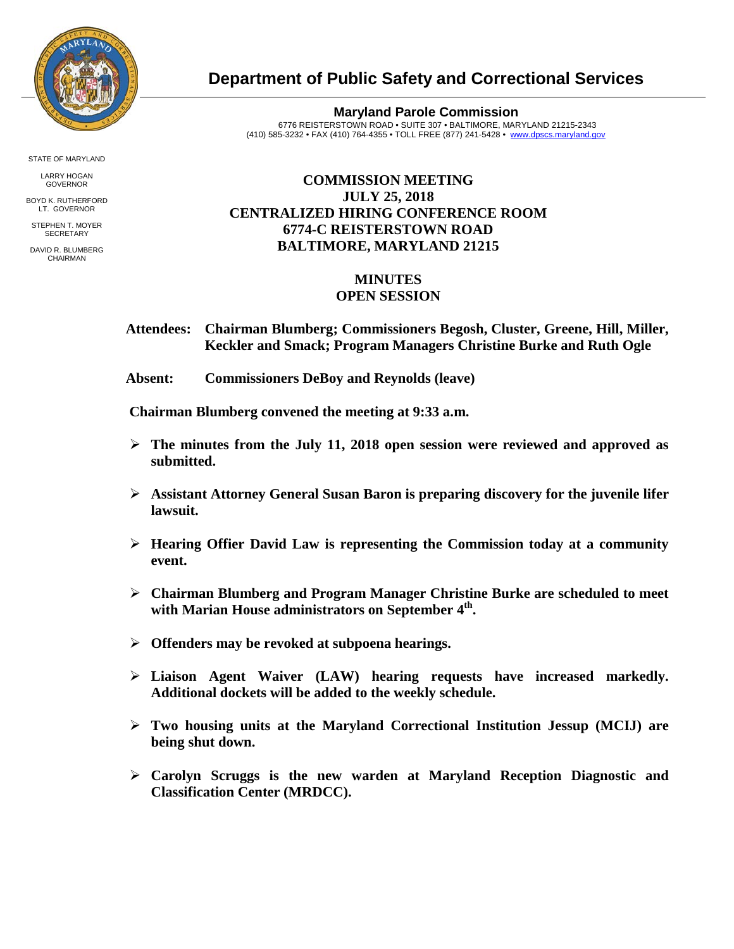

STATE OF MARYLAND

LARRY HOGAN GOVERNOR

BOYD K. RUTHERFORD LT. GOVERNOR STEPHEN T. MOYER

**SECRETARY** 

DAVID R. BLUMBERG CHAIRMAN

## **Department of Public Safety and Correctional Services**

**Maryland Parole Commission** 6776 REISTERSTOWN ROAD • SUITE 307 • BALTIMORE, MARYLAND 21215-2343 (410) 585-3232 • FAX (410) 764-4355 • TOLL FREE (877) 241-5428 • [www.dpscs.maryland.gov](http://www.dpscs.maryland.gov/) 

## **COMMISSION MEETING JULY 25, 2018 CENTRALIZED HIRING CONFERENCE ROOM 6774-C REISTERSTOWN ROAD BALTIMORE, MARYLAND 21215**

## **MINUTES OPEN SESSION**

- **Attendees: Chairman Blumberg; Commissioners Begosh, Cluster, Greene, Hill, Miller, Keckler and Smack; Program Managers Christine Burke and Ruth Ogle**
- **Absent: Commissioners DeBoy and Reynolds (leave)**

 **Chairman Blumberg convened the meeting at 9:33 a.m.**

- **The minutes from the July 11, 2018 open session were reviewed and approved as submitted.**
- **Assistant Attorney General Susan Baron is preparing discovery for the juvenile lifer lawsuit.**
- **Hearing Offier David Law is representing the Commission today at a community event.**
- **Chairman Blumberg and Program Manager Christine Burke are scheduled to meet with Marian House administrators on September 4th.**
- **Offenders may be revoked at subpoena hearings.**
- **Liaison Agent Waiver (LAW) hearing requests have increased markedly. Additional dockets will be added to the weekly schedule.**
- **Two housing units at the Maryland Correctional Institution Jessup (MCIJ) are being shut down.**
- **Carolyn Scruggs is the new warden at Maryland Reception Diagnostic and Classification Center (MRDCC).**